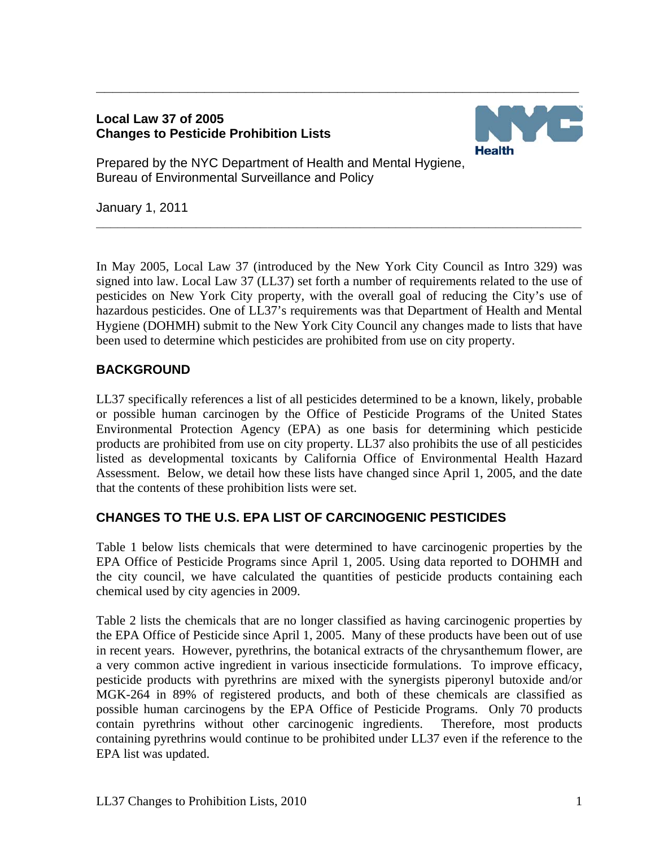### **Local Law 37 of 2005 Changes to Pesticide Prohibition Lists**



Prepared by the NYC Department of Health and Mental Hygiene, Bureau of Environmental Surveillance and Policy

January 1, 2011

In May 2005, Local Law 37 (introduced by the New York City Council as Intro 329) was signed into law. Local Law 37 (LL37) set forth a number of requirements related to the use of pesticides on New York City property, with the overall goal of reducing the City's use of hazardous pesticides. One of LL37's requirements was that Department of Health and Mental Hygiene (DOHMH) submit to the New York City Council any changes made to lists that have been used to determine which pesticides are prohibited from use on city property.

**\_\_\_\_\_\_\_\_\_\_\_\_\_\_\_\_\_\_\_\_\_\_\_\_\_\_\_\_\_\_\_\_\_\_\_\_\_\_\_\_\_\_\_\_\_\_\_\_\_\_\_\_\_\_\_\_\_\_\_\_\_\_\_\_\_\_\_\_** 

**\_\_\_\_\_\_\_\_\_\_\_\_\_\_\_\_\_\_\_\_\_\_\_\_\_\_\_\_\_\_\_\_\_\_\_\_\_\_\_\_\_\_\_\_\_\_\_\_\_\_\_\_\_\_\_\_\_\_** 

# **BACKGROUND**

LL37 specifically references a list of all pesticides determined to be a known, likely, probable or possible human carcinogen by the Office of Pesticide Programs of the United States Environmental Protection Agency (EPA) as one basis for determining which pesticide products are prohibited from use on city property. LL37 also prohibits the use of all pesticides listed as developmental toxicants by California Office of Environmental Health Hazard Assessment. Below, we detail how these lists have changed since April 1, 2005, and the date that the contents of these prohibition lists were set.

## **CHANGES TO THE U.S. EPA LIST OF CARCINOGENIC PESTICIDES**

Table 1 below lists chemicals that were determined to have carcinogenic properties by the EPA Office of Pesticide Programs since April 1, 2005. Using data reported to DOHMH and the city council, we have calculated the quantities of pesticide products containing each chemical used by city agencies in 2009.

Table 2 lists the chemicals that are no longer classified as having carcinogenic properties by the EPA Office of Pesticide since April 1, 2005. Many of these products have been out of use in recent years. However, pyrethrins, the botanical extracts of the chrysanthemum flower, are a very common active ingredient in various insecticide formulations. To improve efficacy, pesticide products with pyrethrins are mixed with the synergists piperonyl butoxide and/or MGK-264 in 89% of registered products, and both of these chemicals are classified as possible human carcinogens by the EPA Office of Pesticide Programs. Only 70 products contain pyrethrins without other carcinogenic ingredients. Therefore, most products containing pyrethrins would continue to be prohibited under LL37 even if the reference to the EPA list was updated.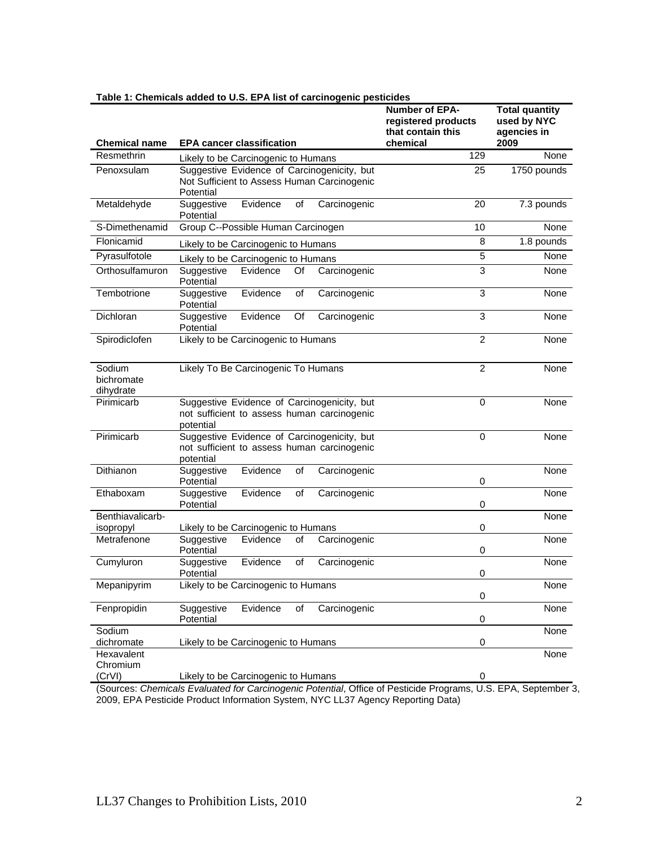| <b>Chemical name</b>              | <b>1. Onembars added to 0.0. Er A hat or caremogenic p</b><br><b>EPA cancer classification</b>          | Number of EPA-<br>registered products<br>that contain this<br>chemical | <b>Total quantity</b><br>used by NYC<br>agencies in<br>2009 |
|-----------------------------------|---------------------------------------------------------------------------------------------------------|------------------------------------------------------------------------|-------------------------------------------------------------|
| Resmethrin                        | Likely to be Carcinogenic to Humans                                                                     | 129                                                                    | None                                                        |
| Penoxsulam                        | Suggestive Evidence of Carcinogenicity, but<br>Not Sufficient to Assess Human Carcinogenic<br>Potential | 25                                                                     | 1750 pounds                                                 |
| Metaldehyde                       | Suggestive<br>Evidence<br>of<br>Carcinogenic<br>Potential                                               | 20                                                                     | 7.3 pounds                                                  |
| S-Dimethenamid                    | Group C--Possible Human Carcinogen                                                                      | 10                                                                     | None                                                        |
| Flonicamid                        | Likely to be Carcinogenic to Humans                                                                     | 8                                                                      | 1.8 pounds                                                  |
| Pyrasulfotole                     | Likely to be Carcinogenic to Humans                                                                     | 5                                                                      | None                                                        |
| Orthosulfamuron                   | Evidence<br>Carcinogenic<br>Suggestive<br>Of<br>Potential                                               | 3                                                                      | None                                                        |
| Tembotrione                       | Evidence<br>Suggestive<br>Carcinogenic<br>οf<br>Potential                                               | 3                                                                      | None                                                        |
| Dichloran                         | Suggestive<br>Evidence<br>Carcinogenic<br>Of<br>Potential                                               | 3                                                                      | None                                                        |
| Spirodiclofen                     | Likely to be Carcinogenic to Humans                                                                     | $\overline{2}$                                                         | None                                                        |
| Sodium<br>bichromate<br>dihydrate | Likely To Be Carcinogenic To Humans                                                                     | $\overline{2}$                                                         | None                                                        |
| Pirimicarb                        | Suggestive Evidence of Carcinogenicity, but<br>not sufficient to assess human carcinogenic<br>potential | $\Omega$                                                               | None                                                        |
| Pirimicarb                        | Suggestive Evidence of Carcinogenicity, but<br>not sufficient to assess human carcinogenic<br>potential | $\Omega$                                                               | None                                                        |
| Dithianon                         | Suggestive<br>Evidence<br>of<br>Carcinogenic<br>Potential                                               | 0                                                                      | None                                                        |
| Ethaboxam                         | Suggestive<br>Evidence<br>Carcinogenic<br>of<br>Potential                                               | 0                                                                      | None                                                        |
| Benthiavalicarb-<br>isopropyl     | Likely to be Carcinogenic to Humans                                                                     | 0                                                                      | None                                                        |
| Metrafenone                       | Suggestive<br>Evidence<br>Carcinogenic<br>οf<br>Potential                                               | 0                                                                      | None                                                        |
| Cumyluron                         | Evidence<br>Suggestive<br>οf<br>Carcinogenic<br>Potential                                               | $\mathbf 0$                                                            | None                                                        |
| Mepanipyrim                       | Likely to be Carcinogenic to Humans                                                                     | $\mathbf 0$                                                            | None                                                        |
| Fenpropidin                       | Suggestive<br>Evidence<br>Carcinogenic<br>οf<br>Potential                                               | $\pmb{0}$                                                              | None                                                        |
| Sodium                            |                                                                                                         |                                                                        | None                                                        |
| dichromate<br>Hexavalent          | Likely to be Carcinogenic to Humans                                                                     | $\pmb{0}$                                                              | None                                                        |
| Chromium<br>(CrVI)                | Likely to be Carcinogenic to Humans                                                                     | 0                                                                      |                                                             |

#### **Table 1: Chemicals added to U.S. EPA list of carcinogenic pesticides**

(Sources: *Chemicals Evaluated for Carcinogenic Potential*, Office of Pesticide Programs, U.S. EPA, September 3, 2009, EPA Pesticide Product Information System, NYC LL37 Agency Reporting Data)